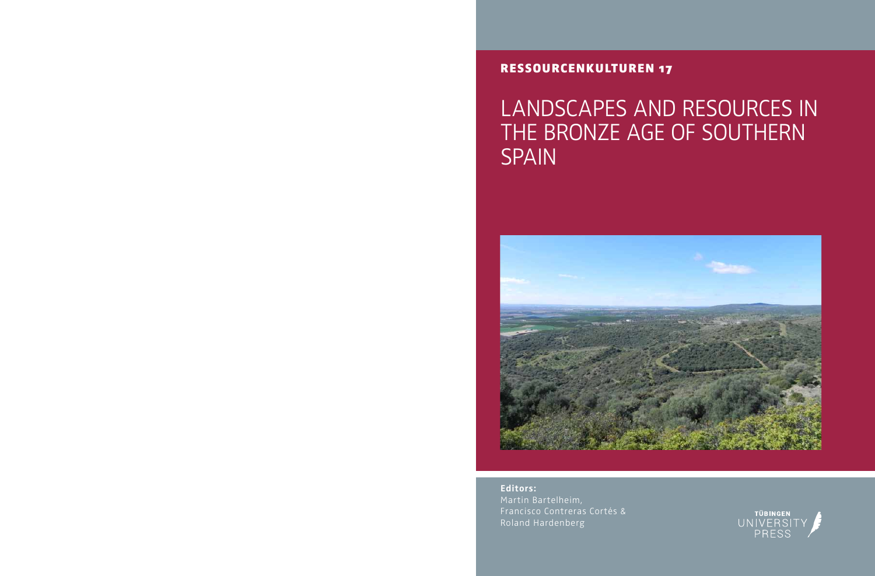### RessouRcenKultuRen 17

# LANDSCAPES AND RESOURCES IN THE BRONZE AGE OF SOUTHERN **SPAIN**



**Editors:** Martin Bartelheim, Francisco Contreras Cortés & Roland Hardenberg

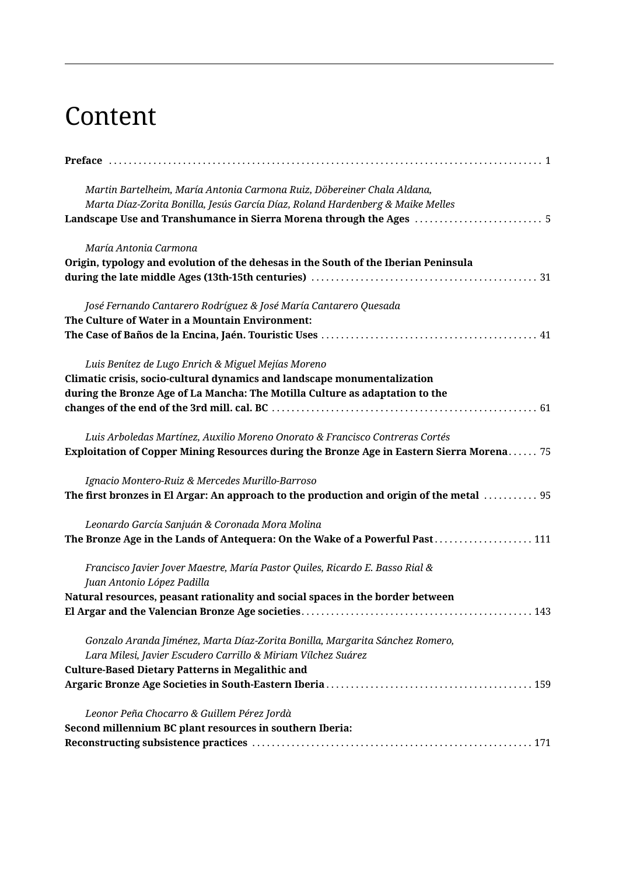## Content

| Martin Bartelheim, María Antonia Carmona Ruiz, Döbereiner Chala Aldana,<br>Marta Díaz-Zorita Bonilla, Jesús García Díaz, Roland Hardenberg & Maike Melles<br>Landscape Use and Transhumance in Sierra Morena through the Ages  5 |
|----------------------------------------------------------------------------------------------------------------------------------------------------------------------------------------------------------------------------------|
| María Antonia Carmona<br>Origin, typology and evolution of the dehesas in the South of the Iberian Peninsula                                                                                                                     |
| José Fernando Cantarero Rodríguez & José María Cantarero Quesada<br>The Culture of Water in a Mountain Environment:                                                                                                              |
| Luis Benítez de Lugo Enrich & Miguel Mejías Moreno<br>Climatic crisis, socio-cultural dynamics and landscape monumentalization<br>during the Bronze Age of La Mancha: The Motilla Culture as adaptation to the                   |
| Luis Arboledas Martínez, Auxilio Moreno Onorato & Francisco Contreras Cortés<br>Exploitation of Copper Mining Resources during the Bronze Age in Eastern Sierra Morena 75                                                        |
| Ignacio Montero-Ruiz & Mercedes Murillo-Barroso<br>The first bronzes in El Argar: An approach to the production and origin of the metal  95                                                                                      |
| Leonardo García Sanjuán & Coronada Mora Molina<br>The Bronze Age in the Lands of Antequera: On the Wake of a Powerful Past 111                                                                                                   |
| Francisco Javier Jover Maestre, María Pastor Quiles, Ricardo E. Basso Rial &<br>Juan Antonio López Padilla<br>Natural resources, peasant rationality and social spaces in the border between                                     |
| 143                                                                                                                                                                                                                              |
| Gonzalo Aranda Jiménez, Marta Díaz-Zorita Bonilla, Margarita Sánchez Romero,<br>Lara Milesi, Javier Escudero Carrillo & Miriam Vílchez Suárez<br><b>Culture-Based Dietary Patterns in Megalithic and</b>                         |
| Leonor Peña Chocarro & Guillem Pérez Jordà<br>Second millennium BC plant resources in southern Iberia:                                                                                                                           |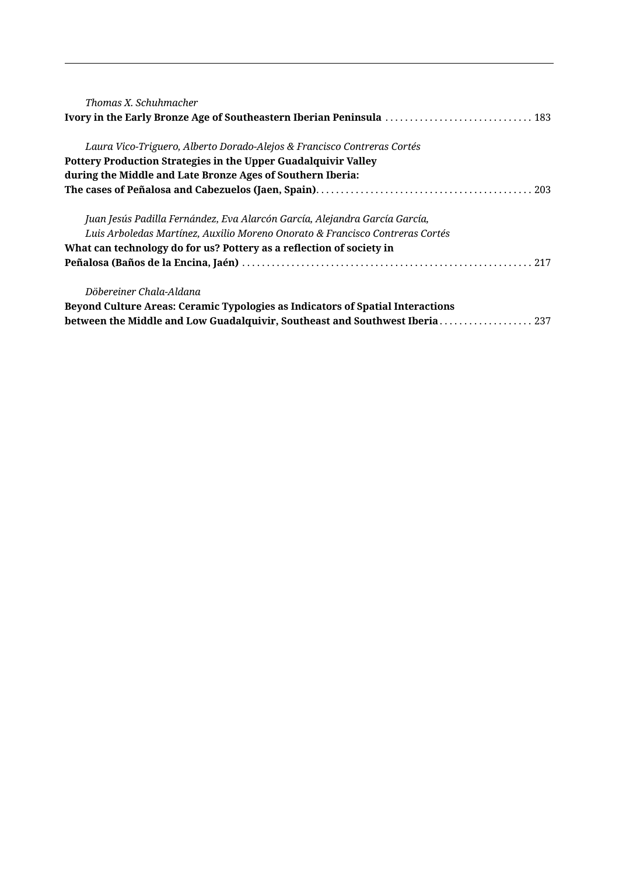| Thomas X. Schuhmacher                                                                 |
|---------------------------------------------------------------------------------------|
| Laura Vico-Triguero, Alberto Dorado-Alejos & Francisco Contreras Cortés               |
| Pottery Production Strategies in the Upper Guadalquivir Valley                        |
| during the Middle and Late Bronze Ages of Southern Iberia:                            |
|                                                                                       |
| Juan Jesús Padilla Fernández, Eva Alarcón García, Alejandra García García,            |
| Luis Arboledas Martínez, Auxilio Moreno Onorato & Francisco Contreras Cortés          |
| What can technology do for us? Pottery as a reflection of society in                  |
|                                                                                       |
| Döbereiner Chala-Aldana                                                               |
| <b>Beyond Culture Areas: Ceramic Typologies as Indicators of Spatial Interactions</b> |
| between the Middle and Low Guadalquivir, Southeast and Southwest Iberia 237           |